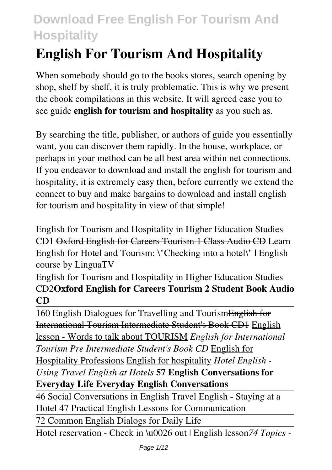# **English For Tourism And Hospitality**

When somebody should go to the books stores, search opening by shop, shelf by shelf, it is truly problematic. This is why we present the ebook compilations in this website. It will agreed ease you to see guide **english for tourism and hospitality** as you such as.

By searching the title, publisher, or authors of guide you essentially want, you can discover them rapidly. In the house, workplace, or perhaps in your method can be all best area within net connections. If you endeavor to download and install the english for tourism and hospitality, it is extremely easy then, before currently we extend the connect to buy and make bargains to download and install english for tourism and hospitality in view of that simple!

English for Tourism and Hospitality in Higher Education Studies CD1 Oxford English for Careers Tourism 1 Class Audio CD Learn English for Hotel and Tourism: \"Checking into a hotel\" | English course by LinguaTV

English for Tourism and Hospitality in Higher Education Studies CD2**Oxford English for Careers Tourism 2 Student Book Audio CD**

160 English Dialogues for Travelling and TourismEnglish for International Tourism Intermediate Student's Book CD1 English lesson - Words to talk about TOURISM *English for International Tourism Pre Intermediate Student's Book CD* English for Hospitality Professions English for hospitality *Hotel English - Using Travel English at Hotels* **57 English Conversations for Everyday Life Everyday English Conversations**

46 Social Conversations in English Travel English - Staying at a Hotel 47 Practical English Lessons for Communication

72 Common English Dialogs for Daily Life

Hotel reservation - Check in \u0026 out | English lesson*74 Topics -*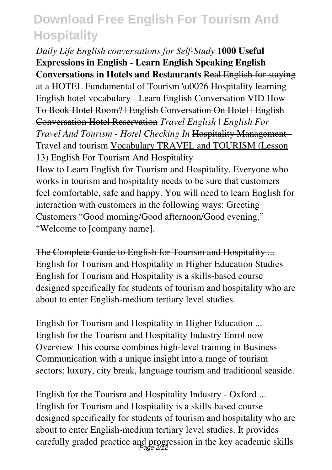*Daily Life English conversations for Self-Study* **1000 Useful Expressions in English - Learn English Speaking English Conversations in Hotels and Restaurants** Real English for staying at a HOTEL Fundamental of Tourism \u0026 Hospitality learning English hotel vocabulary - Learn English Conversation VID How To Book Hotel Room? | English Conversation On Hotel | English Conversation Hotel Reservation *Travel English | English For Travel And Tourism - Hotel Checking In* Hospitality Management - Travel and tourism Vocabulary TRAVEL and TOURISM (Lesson 13) English For Tourism And Hospitality

How to Learn English for Tourism and Hospitality. Everyone who works in tourism and hospitality needs to be sure that customers feel comfortable, safe and happy. You will need to learn English for interaction with customers in the following ways: Greeting Customers "Good morning/Good afternoon/Good evening." "Welcome to [company name].

The Complete Guide to English for Tourism and Hospitality ... English for Tourism and Hospitality in Higher Education Studies English for Tourism and Hospitality is a skills-based course designed specifically for students of tourism and hospitality who are about to enter English-medium tertiary level studies.

English for Tourism and Hospitality in Higher Education ... English for the Tourism and Hospitality Industry Enrol now Overview This course combines high-level training in Business Communication with a unique insight into a range of tourism sectors: luxury, city break, language tourism and traditional seaside.

English for the Tourism and Hospitality Industry - Oxford ... English for Tourism and Hospitality is a skills-based course designed specifically for students of tourism and hospitality who are about to enter English-medium tertiary level studies. It provides carefully graded practice and progression in the key academic skills Page 2/12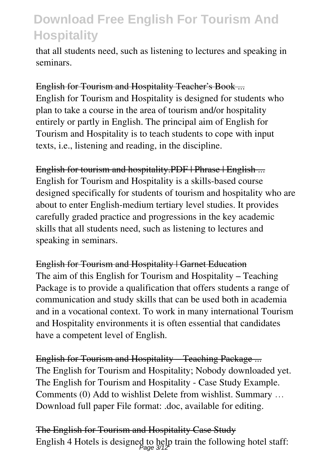that all students need, such as listening to lectures and speaking in seminars.

English for Tourism and Hospitality Teacher's Book ... English for Tourism and Hospitality is designed for students who plan to take a course in the area of tourism and/or hospitality entirely or partly in English. The principal aim of English for Tourism and Hospitality is to teach students to cope with input texts, i.e., listening and reading, in the discipline.

English for tourism and hospitality.PDF | Phrase | English ... English for Tourism and Hospitality is a skills-based course designed specifically for students of tourism and hospitality who are about to enter English-medium tertiary level studies. It provides carefully graded practice and progressions in the key academic skills that all students need, such as listening to lectures and speaking in seminars.

English for Tourism and Hospitality | Garnet Education The aim of this English for Tourism and Hospitality – Teaching Package is to provide a qualification that offers students a range of communication and study skills that can be used both in academia and in a vocational context. To work in many international Tourism and Hospitality environments it is often essential that candidates have a competent level of English.

English for Tourism and Hospitality – Teaching Package ... The English for Tourism and Hospitality; Nobody downloaded yet. The English for Tourism and Hospitality - Case Study Example. Comments (0) Add to wishlist Delete from wishlist. Summary … Download full paper File format: .doc, available for editing.

The English for Tourism and Hospitality Case Study English 4 Hotels is designed to help train the following hotel staff: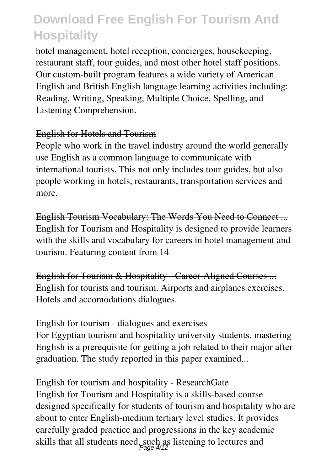hotel management, hotel reception, concierges, housekeeping, restaurant staff, tour guides, and most other hotel staff positions. Our custom-built program features a wide variety of American English and British English language learning activities including: Reading, Writing, Speaking, Multiple Choice, Spelling, and Listening Comprehension.

#### English for Hotels and Tourism

People who work in the travel industry around the world generally use English as a common language to communicate with international tourists. This not only includes tour guides, but also people working in hotels, restaurants, transportation services and more.

English Tourism Vocabulary: The Words You Need to Connect ... English for Tourism and Hospitality is designed to provide learners with the skills and vocabulary for careers in hotel management and tourism. Featuring content from 14

English for Tourism & Hospitality - Career-Aligned Courses ... English for tourists and tourism. Airports and airplanes exercises. Hotels and accomodations dialogues.

#### English for tourism - dialogues and exercises

For Egyptian tourism and hospitality university students, mastering English is a prerequisite for getting a job related to their major after graduation. The study reported in this paper examined...

#### English for tourism and hospitality - ResearchGate

English for Tourism and Hospitality is a skills-based course designed specifically for students of tourism and hospitality who are about to enter English-medium tertiary level studies. It provides carefully graded practice and progressions in the key academic skills that all students need, such as listening to lectures and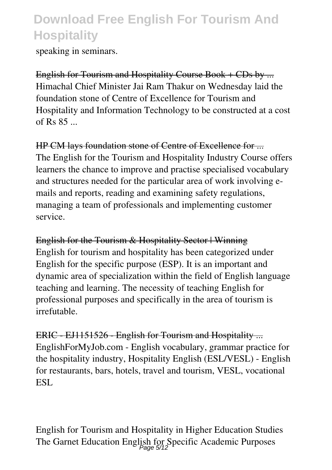speaking in seminars.

English for Tourism and Hospitality Course Book + CDs by ... Himachal Chief Minister Jai Ram Thakur on Wednesday laid the foundation stone of Centre of Excellence for Tourism and Hospitality and Information Technology to be constructed at a cost of Rs  $85$   $\phantom{0}$ 

HP CM lays foundation stone of Centre of Excellence for ... The English for the Tourism and Hospitality Industry Course offers learners the chance to improve and practise specialised vocabulary and structures needed for the particular area of work involving emails and reports, reading and examining safety regulations, managing a team of professionals and implementing customer service.

English for the Tourism & Hospitality Sector | Winning English for tourism and hospitality has been categorized under English for the specific purpose (ESP). It is an important and dynamic area of specialization within the field of English language teaching and learning. The necessity of teaching English for professional purposes and specifically in the area of tourism is irrefutable.

ERIC - EJ1151526 - English for Tourism and Hospitality ... EnglishForMyJob.com - English vocabulary, grammar practice for the hospitality industry, Hospitality English (ESL/VESL) - English for restaurants, bars, hotels, travel and tourism, VESL, vocational ESL.

English for Tourism and Hospitality in Higher Education Studies The Garnet Education English for Specific Academic Purposes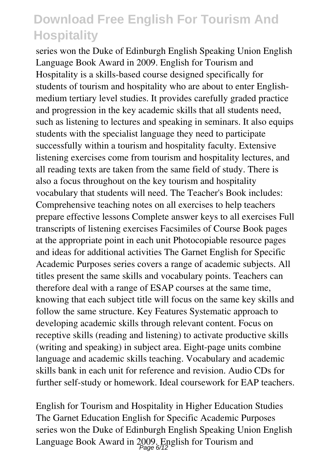series won the Duke of Edinburgh English Speaking Union English Language Book Award in 2009. English for Tourism and Hospitality is a skills-based course designed specifically for students of tourism and hospitality who are about to enter Englishmedium tertiary level studies. It provides carefully graded practice and progression in the key academic skills that all students need, such as listening to lectures and speaking in seminars. It also equips students with the specialist language they need to participate successfully within a tourism and hospitality faculty. Extensive listening exercises come from tourism and hospitality lectures, and all reading texts are taken from the same field of study. There is also a focus throughout on the key tourism and hospitality vocabulary that students will need. The Teacher's Book includes: Comprehensive teaching notes on all exercises to help teachers prepare effective lessons Complete answer keys to all exercises Full transcripts of listening exercises Facsimiles of Course Book pages at the appropriate point in each unit Photocopiable resource pages and ideas for additional activities The Garnet English for Specific Academic Purposes series covers a range of academic subjects. All titles present the same skills and vocabulary points. Teachers can therefore deal with a range of ESAP courses at the same time, knowing that each subject title will focus on the same key skills and follow the same structure. Key Features Systematic approach to developing academic skills through relevant content. Focus on receptive skills (reading and listening) to activate productive skills (writing and speaking) in subject area. Eight-page units combine language and academic skills teaching. Vocabulary and academic skills bank in each unit for reference and revision. Audio CDs for further self-study or homework. Ideal coursework for EAP teachers.

English for Tourism and Hospitality in Higher Education Studies The Garnet Education English for Specific Academic Purposes series won the Duke of Edinburgh English Speaking Union English Language Book Award in 2009. English for Tourism and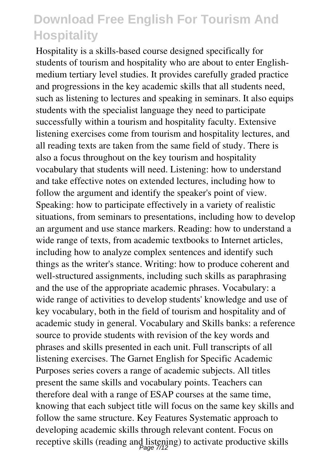Hospitality is a skills-based course designed specifically for students of tourism and hospitality who are about to enter Englishmedium tertiary level studies. It provides carefully graded practice and progressions in the key academic skills that all students need, such as listening to lectures and speaking in seminars. It also equips students with the specialist language they need to participate successfully within a tourism and hospitality faculty. Extensive listening exercises come from tourism and hospitality lectures, and all reading texts are taken from the same field of study. There is also a focus throughout on the key tourism and hospitality vocabulary that students will need. Listening: how to understand and take effective notes on extended lectures, including how to follow the argument and identify the speaker's point of view. Speaking: how to participate effectively in a variety of realistic situations, from seminars to presentations, including how to develop an argument and use stance markers. Reading: how to understand a wide range of texts, from academic textbooks to Internet articles, including how to analyze complex sentences and identify such things as the writer's stance. Writing: how to produce coherent and well-structured assignments, including such skills as paraphrasing and the use of the appropriate academic phrases. Vocabulary: a wide range of activities to develop students' knowledge and use of key vocabulary, both in the field of tourism and hospitality and of academic study in general. Vocabulary and Skills banks: a reference source to provide students with revision of the key words and phrases and skills presented in each unit. Full transcripts of all listening exercises. The Garnet English for Specific Academic Purposes series covers a range of academic subjects. All titles present the same skills and vocabulary points. Teachers can therefore deal with a range of ESAP courses at the same time, knowing that each subject title will focus on the same key skills and follow the same structure. Key Features Systematic approach to developing academic skills through relevant content. Focus on receptive skills (reading and listening) to activate productive skills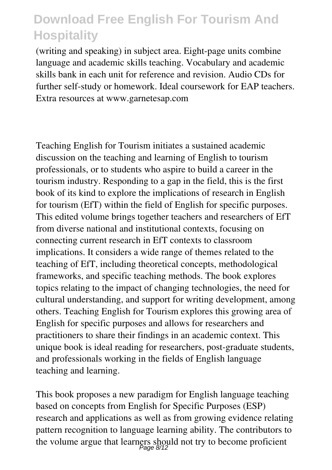(writing and speaking) in subject area. Eight-page units combine language and academic skills teaching. Vocabulary and academic skills bank in each unit for reference and revision. Audio CDs for further self-study or homework. Ideal coursework for EAP teachers. Extra resources at www.garnetesap.com

Teaching English for Tourism initiates a sustained academic discussion on the teaching and learning of English to tourism professionals, or to students who aspire to build a career in the tourism industry. Responding to a gap in the field, this is the first book of its kind to explore the implications of research in English for tourism (EfT) within the field of English for specific purposes. This edited volume brings together teachers and researchers of EfT from diverse national and institutional contexts, focusing on connecting current research in EfT contexts to classroom implications. It considers a wide range of themes related to the teaching of EfT, including theoretical concepts, methodological frameworks, and specific teaching methods. The book explores topics relating to the impact of changing technologies, the need for cultural understanding, and support for writing development, among others. Teaching English for Tourism explores this growing area of English for specific purposes and allows for researchers and practitioners to share their findings in an academic context. This unique book is ideal reading for researchers, post-graduate students, and professionals working in the fields of English language teaching and learning.

This book proposes a new paradigm for English language teaching based on concepts from English for Specific Purposes (ESP) research and applications as well as from growing evidence relating pattern recognition to language learning ability. The contributors to the volume argue that learners should not try to become proficient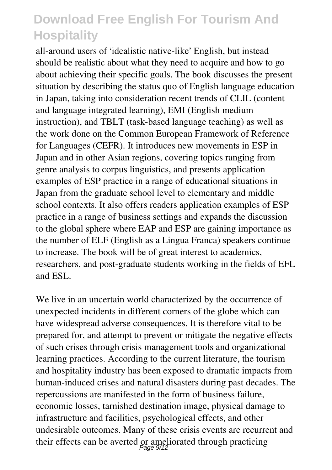all-around users of 'idealistic native-like' English, but instead should be realistic about what they need to acquire and how to go about achieving their specific goals. The book discusses the present situation by describing the status quo of English language education in Japan, taking into consideration recent trends of CLIL (content and language integrated learning), EMI (English medium instruction), and TBLT (task-based language teaching) as well as the work done on the Common European Framework of Reference for Languages (CEFR). It introduces new movements in ESP in Japan and in other Asian regions, covering topics ranging from genre analysis to corpus linguistics, and presents application examples of ESP practice in a range of educational situations in Japan from the graduate school level to elementary and middle school contexts. It also offers readers application examples of ESP practice in a range of business settings and expands the discussion to the global sphere where EAP and ESP are gaining importance as the number of ELF (English as a Lingua Franca) speakers continue to increase. The book will be of great interest to academics, researchers, and post-graduate students working in the fields of EFL and ESL.

We live in an uncertain world characterized by the occurrence of unexpected incidents in different corners of the globe which can have widespread adverse consequences. It is therefore vital to be prepared for, and attempt to prevent or mitigate the negative effects of such crises through crisis management tools and organizational learning practices. According to the current literature, the tourism and hospitality industry has been exposed to dramatic impacts from human-induced crises and natural disasters during past decades. The repercussions are manifested in the form of business failure, economic losses, tarnished destination image, physical damage to infrastructure and facilities, psychological effects, and other undesirable outcomes. Many of these crisis events are recurrent and their effects can be averted or ameliorated through practicing<br>  $P_{\text{age}}$   $9/12$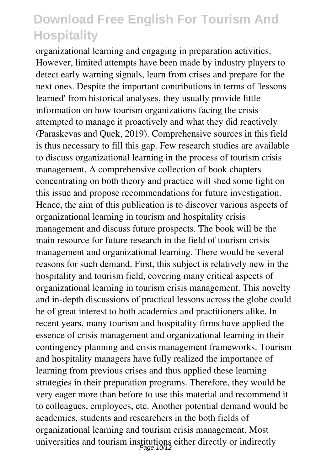organizational learning and engaging in preparation activities. However, limited attempts have been made by industry players to detect early warning signals, learn from crises and prepare for the next ones. Despite the important contributions in terms of 'lessons learned' from historical analyses, they usually provide little information on how tourism organizations facing the crisis attempted to manage it proactively and what they did reactively (Paraskevas and Quek, 2019). Comprehensive sources in this field is thus necessary to fill this gap. Few research studies are available to discuss organizational learning in the process of tourism crisis management. A comprehensive collection of book chapters concentrating on both theory and practice will shed some light on this issue and propose recommendations for future investigation. Hence, the aim of this publication is to discover various aspects of organizational learning in tourism and hospitality crisis management and discuss future prospects. The book will be the main resource for future research in the field of tourism crisis management and organizational learning. There would be several reasons for such demand. First, this subject is relatively new in the hospitality and tourism field, covering many critical aspects of organizational learning in tourism crisis management. This novelty and in-depth discussions of practical lessons across the globe could be of great interest to both academics and practitioners alike. In recent years, many tourism and hospitality firms have applied the essence of crisis management and organizational learning in their contingency planning and crisis management frameworks. Tourism and hospitality managers have fully realized the importance of learning from previous crises and thus applied these learning strategies in their preparation programs. Therefore, they would be very eager more than before to use this material and recommend it to colleagues, employees, etc. Another potential demand would be academics, students and researchers in the both fields of organizational learning and tourism crisis management. Most universities and tourism institutions either directly or indirectly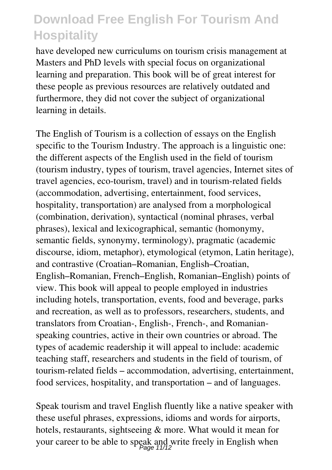have developed new curriculums on tourism crisis management at Masters and PhD levels with special focus on organizational learning and preparation. This book will be of great interest for these people as previous resources are relatively outdated and furthermore, they did not cover the subject of organizational learning in details.

The English of Tourism is a collection of essays on the English specific to the Tourism Industry. The approach is a linguistic one: the different aspects of the English used in the field of tourism (tourism industry, types of tourism, travel agencies, Internet sites of travel agencies, eco-tourism, travel) and in tourism-related fields (accommodation, advertising, entertainment, food services, hospitality, transportation) are analysed from a morphological (combination, derivation), syntactical (nominal phrases, verbal phrases), lexical and lexicographical, semantic (homonymy, semantic fields, synonymy, terminology), pragmatic (academic discourse, idiom, metaphor), etymological (etymon, Latin heritage), and contrastive (Croatian–Romanian, English–Croatian, English–Romanian, French–English, Romanian–English) points of view. This book will appeal to people employed in industries including hotels, transportation, events, food and beverage, parks and recreation, as well as to professors, researchers, students, and translators from Croatian-, English-, French-, and Romanianspeaking countries, active in their own countries or abroad. The types of academic readership it will appeal to include: academic teaching staff, researchers and students in the field of tourism, of tourism-related fields – accommodation, advertising, entertainment, food services, hospitality, and transportation – and of languages.

Speak tourism and travel English fluently like a native speaker with these useful phrases, expressions, idioms and words for airports, hotels, restaurants, sightseeing & more. What would it mean for your career to be able to speak and write freely in English when